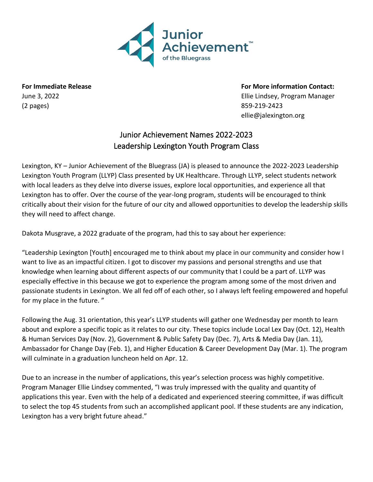

(2 pages) 859-219-2423

**For Immediate Release For More information Contact:** June 3, 2022 Ellie Lindsey, Program Manager ellie@jalexington.org

## Junior Achievement Names 2022-2023 Leadership Lexington Youth Program Class

Lexington, KY – Junior Achievement of the Bluegrass (JA) is pleased to announce the 2022-2023 Leadership Lexington Youth Program (LLYP) Class presented by UK Healthcare. Through LLYP, select students network with local leaders as they delve into diverse issues, explore local opportunities, and experience all that Lexington has to offer. Over the course of the year-long program, students will be encouraged to think critically about their vision for the future of our city and allowed opportunities to develop the leadership skills they will need to affect change.

Dakota Musgrave, a 2022 graduate of the program, had this to say about her experience:

"Leadership Lexington [Youth] encouraged me to think about my place in our community and consider how I want to live as an impactful citizen. I got to discover my passions and personal strengths and use that knowledge when learning about different aspects of our community that I could be a part of. LLYP was especially effective in this because we got to experience the program among some of the most driven and passionate students in Lexington. We all fed off of each other, so I always left feeling empowered and hopeful for my place in the future. "

Following the Aug. 31 orientation, this year's LLYP students will gather one Wednesday per month to learn about and explore a specific topic as it relates to our city. These topics include Local Lex Day (Oct. 12), Health & Human Services Day (Nov. 2), Government & Public Safety Day (Dec. 7), Arts & Media Day (Jan. 11), Ambassador for Change Day (Feb. 1), and Higher Education & Career Development Day (Mar. 1). The program will culminate in a graduation luncheon held on Apr. 12.

Due to an increase in the number of applications, this year's selection process was highly competitive. Program Manager Ellie Lindsey commented, "I was truly impressed with the quality and quantity of applications this year. Even with the help of a dedicated and experienced steering committee, if was difficult to select the top 45 students from such an accomplished applicant pool. If these students are any indication, Lexington has a very bright future ahead."